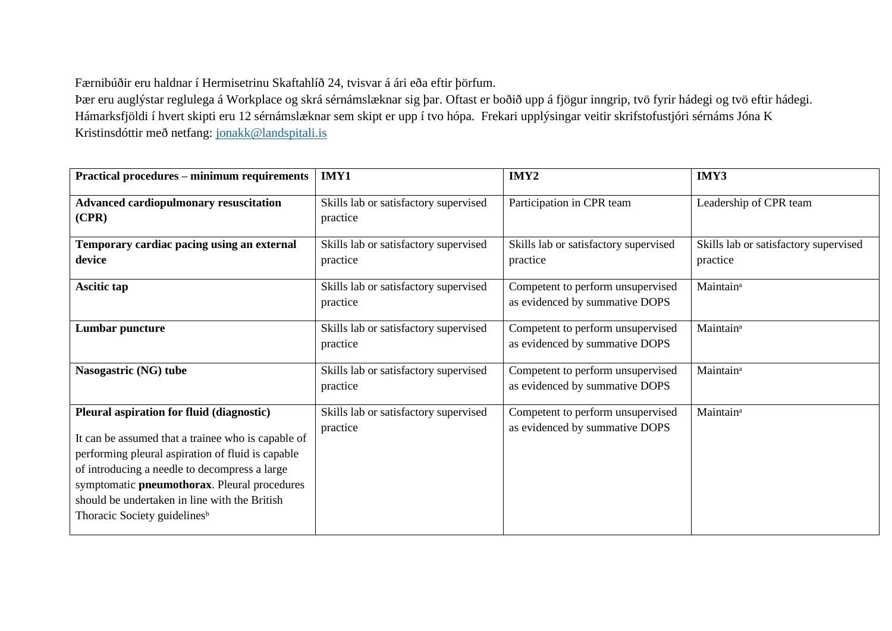Færnibúðir eru haldnar í Hermisetrinu Skaftahlíð 24, tvisvar á ári eða eftir þörfum.

Þær eru auglýstar reglulega á Workplace og skrá sérnámslæknar sig þar. Oftast er boðið upp á fjögur inngrip, tvö fyrir hádegi og tvö eftir hádegi. Hámarksfjöldi í hvert skipti eru 12 sérnámslæknar sem skipt er upp í tvo hópa. Frekari upplýsingar veitir skrifstofustjóri sérnáms Jóna K Kristinsdóttir með netfang: [jonakk@landspitali.is](mailto:jonakk@landspitali.is)

| <b>Practical procedures - minimum requirements</b>                                                                                                                                                                                                                                                                                                 | IMY1                                              | IMY2                                                                | IMY3                                              |
|----------------------------------------------------------------------------------------------------------------------------------------------------------------------------------------------------------------------------------------------------------------------------------------------------------------------------------------------------|---------------------------------------------------|---------------------------------------------------------------------|---------------------------------------------------|
| <b>Advanced cardiopulmonary resuscitation</b><br>(CPR)                                                                                                                                                                                                                                                                                             | Skills lab or satisfactory supervised<br>practice | Participation in CPR team                                           | Leadership of CPR team                            |
| Temporary cardiac pacing using an external<br>device                                                                                                                                                                                                                                                                                               | Skills lab or satisfactory supervised<br>practice | Skills lab or satisfactory supervised<br>practice                   | Skills lab or satisfactory supervised<br>practice |
| Ascitic tap                                                                                                                                                                                                                                                                                                                                        | Skills lab or satisfactory supervised<br>practice | Competent to perform unsupervised<br>as evidenced by summative DOPS | Maintain <sup>a</sup>                             |
| <b>Lumbar puncture</b>                                                                                                                                                                                                                                                                                                                             | Skills lab or satisfactory supervised<br>practice | Competent to perform unsupervised<br>as evidenced by summative DOPS | Maintain <sup>a</sup>                             |
| Nasogastric (NG) tube                                                                                                                                                                                                                                                                                                                              | Skills lab or satisfactory supervised<br>practice | Competent to perform unsupervised<br>as evidenced by summative DOPS | Maintain <sup>a</sup>                             |
| Pleural aspiration for fluid (diagnostic)<br>It can be assumed that a trainee who is capable of<br>performing pleural aspiration of fluid is capable<br>of introducing a needle to decompress a large<br>symptomatic pneumothorax. Pleural procedures<br>should be undertaken in line with the British<br>Thoracic Society guidelines <sup>b</sup> | Skills lab or satisfactory supervised<br>practice | Competent to perform unsupervised<br>as evidenced by summative DOPS | Maintain <sup>a</sup>                             |